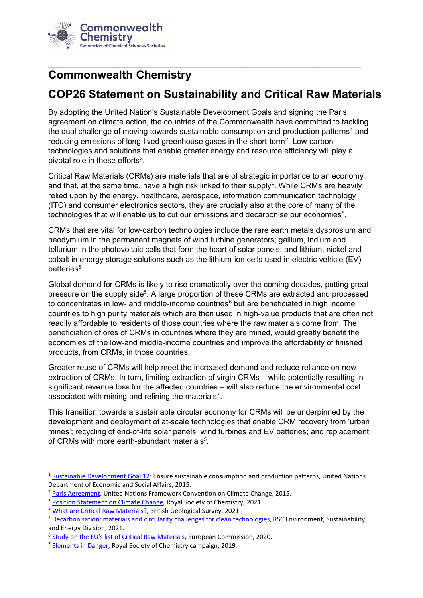

## **\_\_\_\_\_\_\_\_\_\_\_\_\_\_\_\_\_\_\_\_\_\_\_\_\_\_\_\_\_\_\_\_\_\_\_\_\_\_\_\_\_\_\_\_\_\_\_\_\_\_\_\_\_\_\_\_\_\_\_\_\_\_\_\_\_\_ Commonwealth Chemistry**

## **COP26 Statement on Sustainability and Critical Raw Materials**

By adopting the United Nation's Sustainable Development Goals and signing the Paris agreement on climate action, the countries of the Commonwealth have committed to tackling the dual challenge of moving towards sustainable consumption and production patterns<sup>[1](#page-0-0)</sup> and reducing emissions of long-lived greenhouse gases in the short-term $^2$  $^2$ . Low-carbon technologies and solutions that enable greater energy and resource efficiency will play a pivotal role in these efforts $3$ .

Critical Raw Materials (CRMs) are materials that are of strategic importance to an economy and that, at the same time, have a high risk linked to their supply $4$ . While CRMs are heavily relied upon by the energy, healthcare, aerospace, information communication technology (ITC) and consumer electronics sectors, they are crucially also at the core of many of the technologies that will enable us to cut our emissions and decarbonise our economies $^5\!$  $^5\!$  $^5\!$ 

CRMs that are vital for low-carbon technologies include the rare earth metals dysprosium and neodymium in the permanent magnets of wind turbine generators; gallium, indium and tellurium in the photovoltaic cells that form the heart of solar panels; and lithium, nickel and cobalt in energy storage solutions such as the lithium-ion cells used in electric vehicle (EV) batteries<sup>5</sup>.

Global demand for CRMs is likely to rise dramatically over the coming decades, putting great pressure on the supply side<sup>5</sup>. A large proportion of these CRMs are extracted and processed to concentrates in low- and middle-income countries $6$  but are beneficiated in high income countries to high purity materials which are then used in high-value products that are often not readily affordable to residents of those countries where the raw materials come from. The beneficiation of ores of CRMs in countries where they are mined, would greatly benefit the economies of the low-and middle-income countries and improve the affordability of finished products, from CRMs, in those countries.

Greater reuse of CRMs will help meet the increased demand and reduce reliance on new extraction of CRMs. In turn, limiting extraction of virgin CRMs – while potentially resulting in significant revenue loss for the affected countries – will also reduce the environmental cost associated with mining and refining the materials<sup>[7](#page-0-6)</sup>.

This transition towards a sustainable circular economy for CRMs will be underpinned by the development and deployment of at-scale technologies that enable CRM recovery from 'urban mines'; recycling of end-of-life solar panels, wind turbines and EV batteries; and replacement of CRMs with more earth-abundant materials $^5$ .

<span id="page-0-0"></span><sup>&</sup>lt;sup>1</sup> [Sustainable Development Goal 12:](https://sdgs.un.org/goals/goal12) Ensure sustainable consumption and production patterns, United Nations Department of Economic and Social Affairs, 2015.

<span id="page-0-1"></span><sup>&</sup>lt;sup>2</sup> [Paris Agreement,](https://unfccc.int/process-and-meetings/the-paris-agreement/the-paris-agreement) United Nations Framework Convention on Climate Change, 2015.

<span id="page-0-2"></span><sup>&</sup>lt;sup>3</sup> Position Statement [on Climate Change,](https://www.rsc.org/globalassets/22-new-perspectives/sustainability/strategic-approach-to-sustainability/royal-society-of-chemistry-climate-change-position-statement.pdfrsc-research-culture-position-statement.pdf) Royal Society of Chemistry, 2021.

<span id="page-0-3"></span><sup>4</sup> [What are Critical Raw Materials?,](https://www.bgs.ac.uk/geology-projects/critical-raw-materials/) British Geological Survey, 2021

<span id="page-0-4"></span><sup>&</sup>lt;sup>5</sup> [Decarbonisation: materials and circularity challenges for clean technologies,](https://www.rsc.org/membership-and-community/connect-with-others/through-interests/divisions/environment-sustainability-and-energy/news/2021/09-september/esed-roundtable-report/) RSC Environment, Sustainability and Energy Division, 2021.

<span id="page-0-5"></span><sup>6</sup> [Study on the EU's list of Critical Raw Materials,](https://www.platirus.eu/wp-content/uploads/2020/09/CRM_2020_Report_Final.pdf) European Commission, 2020.

<span id="page-0-6"></span><sup>&</sup>lt;sup>7</sup> [Elements in Danger,](https://www.rsc.org/new-perspectives/sustainability/elements-in-danger/) Royal Society of Chemistry campaign, 2019.